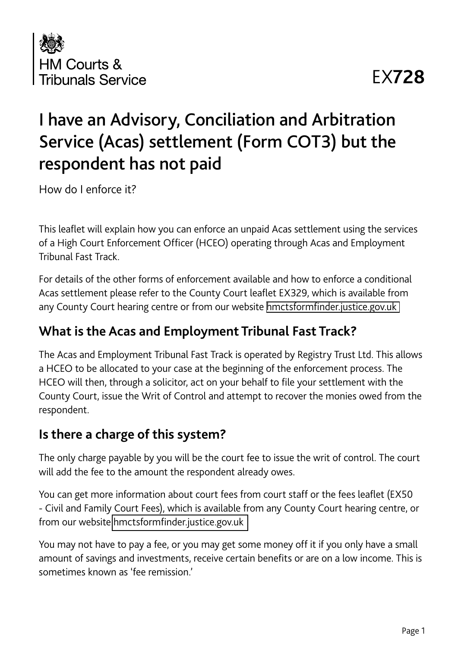

# EX**728**

# I have an Advisory, Conciliation and Arbitration Service (Acas) settlement (Form COT3) but the respondent has not paid

How do I enforce it?

This leaflet will explain how you can enforce an unpaid Acas settlement using the services of a High Court Enforcement Officer (HCEO) operating through Acas and Employment Tribunal Fast Track.

For details of the other forms of enforcement available and how to enforce a conditional Acas settlement please refer to the County Court leaflet EX329, which is available from any County Court hearing centre or from our website [hmctsformfinder.justice.gov.uk](https://hmctsformfinder.justice.gov.uk)

## **What is the Acas and Employment Tribunal Fast Track?**

The Acas and Employment Tribunal Fast Track is operated by Registry Trust Ltd. This allows a HCEO to be allocated to your case at the beginning of the enforcement process. The HCEO will then, through a solicitor, act on your behalf to file your settlement with the County Court, issue the Writ of Control and attempt to recover the monies owed from the respondent.

## **Is there a charge of this system?**

The only charge payable by you will be the court fee to issue the writ of control. The court will add the fee to the amount the respondent already owes.

You can get more information about court fees from court staff or the fees leaflet (EX50 - Civil and Family Court Fees), which is available from any County Court hearing centre, or from our website [hmctsformfinder.justice.gov.uk](https://hmctsformfinder.justice.gov.uk)

You may not have to pay a fee, or you may get some money off it if you only have a small amount of savings and investments, receive certain benefits or are on a low income. This is sometimes known as 'fee remission.'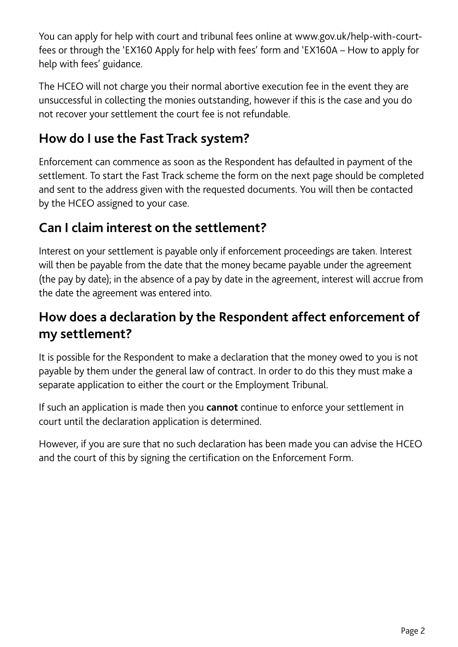You can apply for help with court and tribunal fees online at www.gov.uk/help-with-courtfees or through the 'EX160 Apply for help with fees' form and 'EX160A – How to apply for help with fees' guidance.

The HCEO will not charge you their normal abortive execution fee in the event they are unsuccessful in collecting the monies outstanding, however if this is the case and you do not recover your settlement the court fee is not refundable.

# **How do I use the Fast Track system?**

Enforcement can commence as soon as the Respondent has defaulted in payment of the settlement. To start the Fast Track scheme the form on the next page should be completed and sent to the address given with the requested documents. You will then be contacted by the HCEO assigned to your case.

## **Can I claim interest on the settlement?**

Interest on your settlement is payable only if enforcement proceedings are taken. Interest will then be payable from the date that the money became payable under the agreement (the pay by date); in the absence of a pay by date in the agreement, interest will accrue from the date the agreement was entered into.

## **How does a declaration by the Respondent affect enforcement of my settlement?**

It is possible for the Respondent to make a declaration that the money owed to you is not payable by them under the general law of contract. In order to do this they must make a separate application to either the court or the Employment Tribunal.

If such an application is made then you **cannot** continue to enforce your settlement in court until the declaration application is determined.

However, if you are sure that no such declaration has been made you can advise the HCEO and the court of this by signing the certification on the Enforcement Form.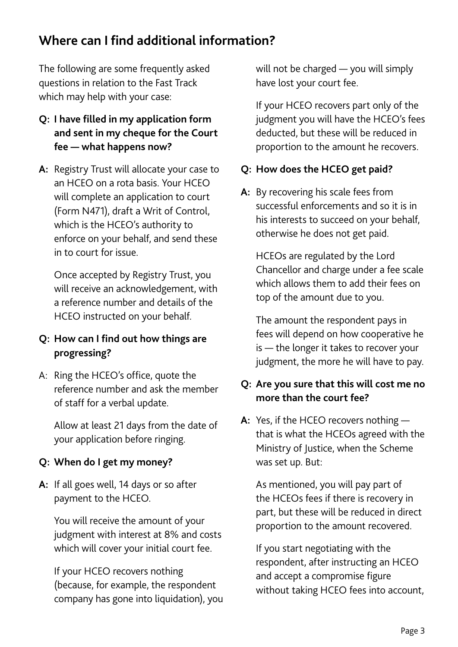## **Where can I find additional information?**

The following are some frequently asked questions in relation to the Fast Track which may help with your case:

## **Q: I have filled in my application form and sent in my cheque for the Court fee — what happens now?**

**A:** Registry Trust will allocate your case to an HCEO on a rota basis. Your HCEO will complete an application to court (Form N471), draft a Writ of Control, which is the HCEO's authority to enforce on your behalf, and send these in to court for issue.

Once accepted by Registry Trust, you will receive an acknowledgement, with a reference number and details of the HCEO instructed on your behalf.

#### **Q: How can I find out how things are progressing?**

A: Ring the HCEO's office, quote the reference number and ask the member of staff for a verbal update.

Allow at least 21 days from the date of your application before ringing.

#### **Q: When do I get my money?**

**A:** If all goes well, 14 days or so after payment to the HCEO.

You will receive the amount of your judgment with interest at 8% and costs which will cover your initial court fee.

If your HCEO recovers nothing (because, for example, the respondent company has gone into liquidation), you will not be charged — you will simply have lost your court fee.

If your HCEO recovers part only of the judgment you will have the HCEO's fees deducted, but these will be reduced in proportion to the amount he recovers.

#### **Q: How does the HCEO get paid?**

**A:** By recovering his scale fees from successful enforcements and so it is in his interests to succeed on your behalf, otherwise he does not get paid.

HCEOs are regulated by the Lord Chancellor and charge under a fee scale which allows them to add their fees on top of the amount due to you.

The amount the respondent pays in fees will depend on how cooperative he is — the longer it takes to recover your judgment, the more he will have to pay.

## **Q: Are you sure that this will cost me no more than the court fee?**

**A:** Yes, if the HCEO recovers nothing that is what the HCEOs agreed with the Ministry of Justice, when the Scheme was set up. But:

As mentioned, you will pay part of the HCEOs fees if there is recovery in part, but these will be reduced in direct proportion to the amount recovered.

If you start negotiating with the respondent, after instructing an HCEO and accept a compromise figure without taking HCEO fees into account,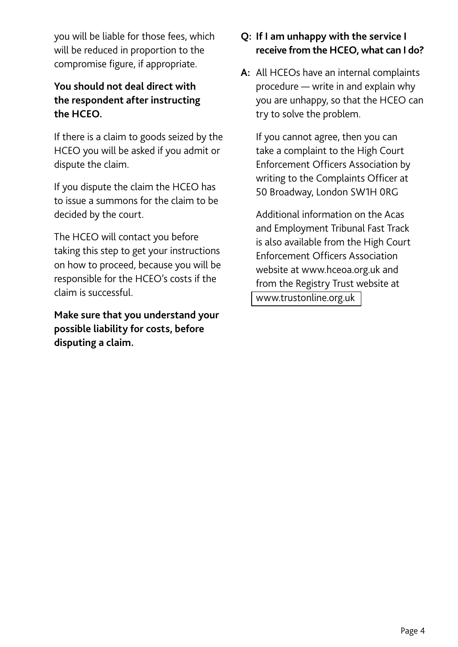you will be liable for those fees, which will be reduced in proportion to the compromise figure, if appropriate.

## **You should not deal direct with the respondent after instructing the HCEO.**

If there is a claim to goods seized by the HCEO you will be asked if you admit or dispute the claim.

If you dispute the claim the HCEO has to issue a summons for the claim to be decided by the court.

The HCEO will contact you before taking this step to get your instructions on how to proceed, because you will be responsible for the HCEO's costs if the claim is successful.

**Make sure that you understand your possible liability for costs, before disputing a claim.**

### **Q: If I am unhappy with the service I receive from the HCEO, what can I do?**

**A:** All HCEOs have an internal complaints procedure — write in and explain why you are unhappy, so that the HCEO can try to solve the problem.

If you cannot agree, then you can take a complaint to the High Court Enforcement Officers Association by writing to the Complaints Officer at 50 Broadway, London SW1H 0RG

Additional information on the Acas and Employment Tribunal Fast Track is also available from the High Court Enforcement Officers Association website at www.hceoa.org.uk and from the Registry Trust website at <www.trustonline.org.uk>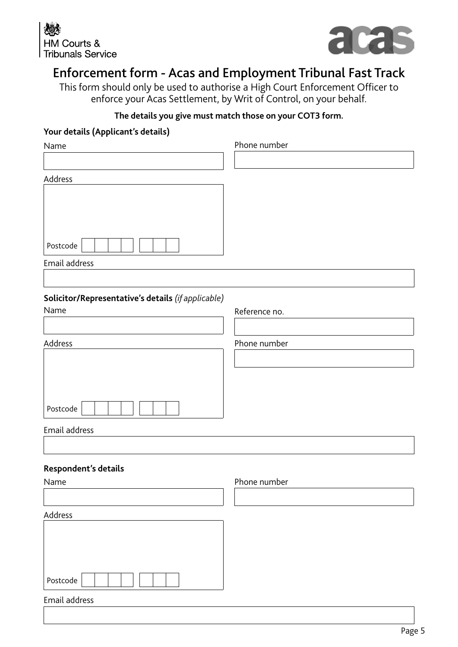



## Enforcement form - Acas and Employment Tribunal Fast Track

This form should only be used to authorise a High Court Enforcement Officer to enforce your Acas Settlement, by Writ of Control, on your behalf.

#### **The details you give must match those on your COT3 form.**

#### **Your details (Applicant's details)**

| Name                                               | Phone number  |
|----------------------------------------------------|---------------|
|                                                    |               |
| Address                                            |               |
|                                                    |               |
|                                                    |               |
|                                                    |               |
| Postcode                                           |               |
| Email address                                      |               |
|                                                    |               |
| Solicitor/Representative's details (if applicable) |               |
| Name                                               | Reference no. |
|                                                    |               |
| Address                                            | Phone number  |
|                                                    |               |
|                                                    |               |
|                                                    |               |
| Postcode                                           |               |
| Email address                                      |               |
|                                                    |               |
| Respondent's details                               |               |
| Name                                               | Phone number  |
|                                                    |               |
| Address                                            |               |
|                                                    |               |
|                                                    |               |
|                                                    |               |
| Postcode                                           |               |
| Email address                                      |               |